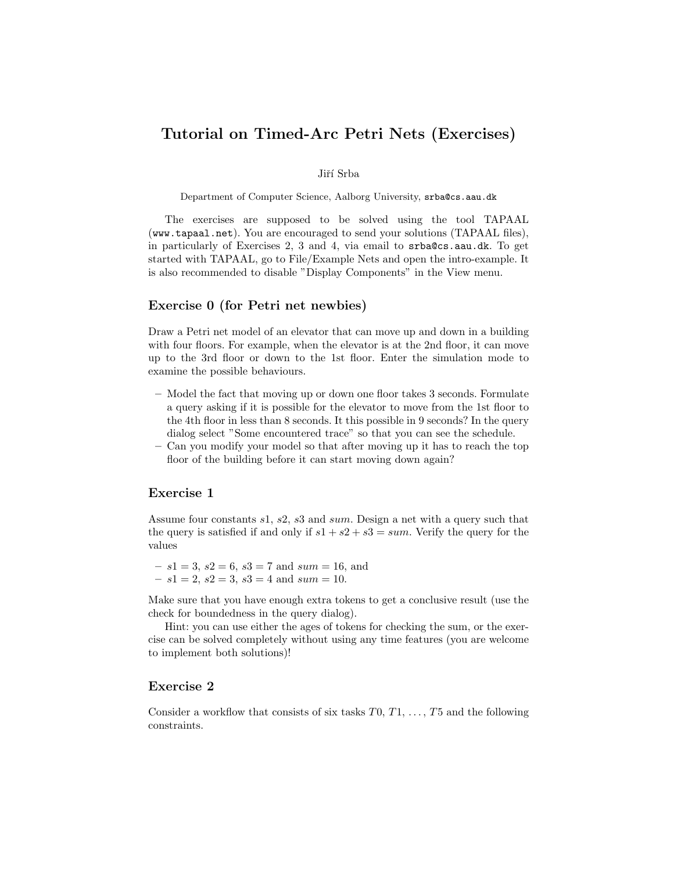# Tutorial on Timed-Arc Petri Nets (Exercises)

#### Jiří Srba

Department of Computer Science, Aalborg University, srba@cs.aau.dk

The exercises are supposed to be solved using the tool TAPAAL (www.tapaal.net). You are encouraged to send your solutions (TAPAAL files), in particularly of Exercises 2, 3 and 4, via email to srba@cs.aau.dk. To get started with TAPAAL, go to File/Example Nets and open the intro-example. It is also recommended to disable "Display Components" in the View menu.

## Exercise 0 (for Petri net newbies)

Draw a Petri net model of an elevator that can move up and down in a building with four floors. For example, when the elevator is at the 2nd floor, it can move up to the 3rd floor or down to the 1st floor. Enter the simulation mode to examine the possible behaviours.

- Model the fact that moving up or down one floor takes 3 seconds. Formulate a query asking if it is possible for the elevator to move from the 1st floor to the 4th floor in less than 8 seconds. It this possible in 9 seconds? In the query dialog select "Some encountered trace" so that you can see the schedule.
- Can you modify your model so that after moving up it has to reach the top floor of the building before it can start moving down again?

## Exercise 1

Assume four constants s1, s2, s3 and sum. Design a net with a query such that the query is satisfied if and only if  $s1 + s2 + s3 = sum$ . Verify the query for the values

 $- s1 = 3, s2 = 6, s3 = 7 \text{ and } sum = 16, \text{ and}$  $- s1 = 2, s2 = 3, s3 = 4 \text{ and } sum = 10.$ 

Make sure that you have enough extra tokens to get a conclusive result (use the check for boundedness in the query dialog).

Hint: you can use either the ages of tokens for checking the sum, or the exercise can be solved completely without using any time features (you are welcome to implement both solutions)!

## Exercise 2

Consider a workflow that consists of six tasks  $T0, T1, \ldots, T5$  and the following constraints.